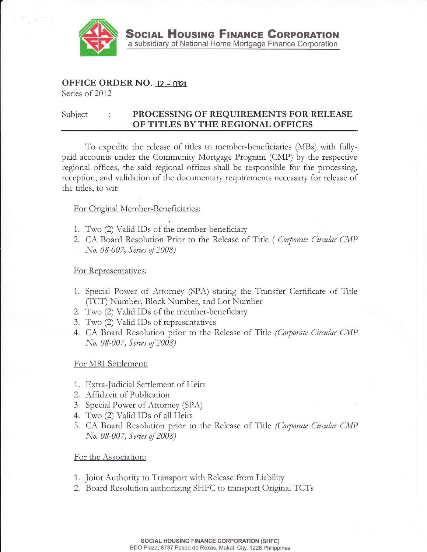

# OFFICE ORDER NO. 12 - 0321

Series of 2012

#### Subject PROCESSING OF REQUIREMENTS FOR RELEASE OF TITLES BY THE REGIONAL OFFICES

To expedite the release of titles to member-beneficiaries (MBs) with fullypaid accounts under the Community Mortgage Program (CMP) by the respective regional offices, the said regional offices shall be responsible for the processing, reception, and validation of the documentary requirements necessary for release of the titles, to wit:

## For Original Member-Beneficiaries:

- 1. Two (2) Valid IDs of the member-beneficiary
- 2. CA Board Resolution Prior to the Release of Title (*Corporate Circular CMP* No. 08-007, Series of 2008)

### For Representatives:

- 1. Special Power of Attorney (SPA) stating the Transfer Certificate of Title (TCT) Number, Block Number, and Lot Number
- 2. Two (2) Valid IDs of the member-beneficiary
- 3. Two (2) Valid IDs of representatives
- 4. CA Board Resolution prior to the Release of Title *(Corporate Circular CMP* No. 08-007, Series of 2008)

### For MRI Settlement:

- 1. Extra-Judicial Settlement of Heirs
- 2. Affidavit of Publication
- 3. Special Power of Attorney (SPA)
- 4. Two (2) Valid IDs of all Heirs
- 5. CA Board Resolution prior to the Release of Title (Corporate Circular CMP No. 08-007, Series of 2008)

### For the Association:

- 1. Joint Authority to Transport with Release from Liability
- 2. Board Resolution authorizing SHFC to transport Original TCTs

**SOCIAL HOUSING FINANCE CORPORATION (SHFC)** BDO Plaza, 8737 Paseo de Roxas, Makati City, 1226 Philippines